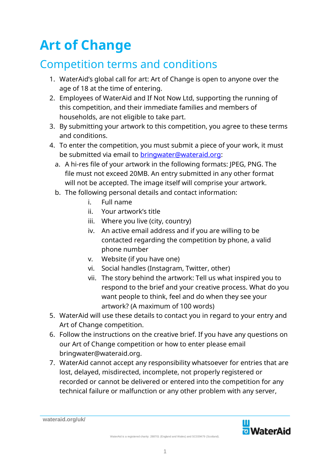# **Art of Change**

## Competition terms and conditions

- 1. WaterAid's global call for art: Art of Change is open to anyone over the age of 18 at the time of entering.
- 2. Employees of WaterAid and If Not Now Ltd, supporting the running of this competition, and their immediate families and members of households, are not eligible to take part.
- 3. By submitting your artwork to this competition, you agree to these terms and conditions.
- 4. To enter the competition, you must submit a piece of your work, it must be submitted via email to bringwater@wateraid.org:
	- a. A hi-res file of your artwork in the following formats: JPEG, PNG. The file must not exceed 20MB. An entry submitted in any other format will not be accepted. The image itself will comprise your artwork.
	- b. The following personal details and contact information:
		- i. Full name
		- ii. Your artwork's title
		- iii. Where you live (city, country)
		- iv. An active email address and if you are willing to be contacted regarding the competition by phone, a valid phone number
		- v. Website (if you have one)
		- vi. Social handles (Instagram, Twitter, other)
		- vii. The story behind the artwork: Tell us what inspired you to respond to the brief and your creative process. What do you want people to think, feel and do when they see your artwork? (A maximum of 100 words)
- 5. WaterAid will use these details to contact you in regard to your entry and Art of Change competition.
- 6. Follow the instructions on the creative brief. If you have any questions on our Art of Change competition or how to enter please email bringwater@wateraid.org.
- 7. WaterAid cannot accept any responsibility whatsoever for entries that are lost, delayed, misdirected, incomplete, not properly registered or recorded or cannot be delivered or entered into the competition for any technical failure or malfunction or any other problem with any server,



**wateraid.org/uk/**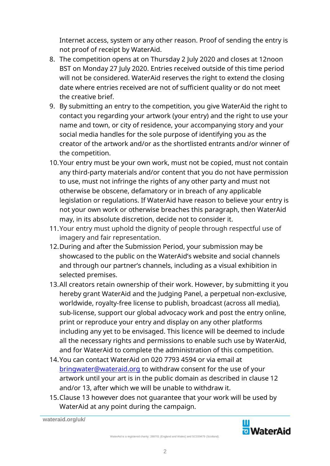Internet access, system or any other reason. Proof of sending the entry is not proof of receipt by WaterAid.

- 8. The competition opens at on Thursday 2 July 2020 and closes at 12noon BST on Monday 27 July 2020. Entries received outside of this time period will not be considered. WaterAid reserves the right to extend the closing date where entries received are not of sufficient quality or do not meet the creative brief.
- 9. By submitting an entry to the competition, you give WaterAid the right to contact you regarding your artwork (your entry) and the right to use your name and town, or city of residence, your accompanying story and your social media handles for the sole purpose of identifying you as the creator of the artwork and/or as the shortlisted entrants and/or winner of the competition.
- 10.Your entry must be your own work, must not be copied, must not contain any third-party materials and/or content that you do not have permission to use, must not infringe the rights of any other party and must not otherwise be obscene, defamatory or in breach of any applicable legislation or regulations. If WaterAid have reason to believe your entry is not your own work or otherwise breaches this paragraph, then WaterAid may, in its absolute discretion, decide not to consider it.
- 11.Your entry must uphold the dignity of people through respectful use of imagery and fair representation.
- 12.During and after the Submission Period, your submission may be showcased to the public on the WaterAid's website and social channels and through our partner's channels, including as a visual exhibition in selected premises.
- 13.All creators retain ownership of their work. However, by submitting it you hereby grant WaterAid and the Judging Panel, a perpetual non-exclusive, worldwide, royalty-free license to publish, broadcast (across all media), sub-license, support our global advocacy work and post the entry online, print or reproduce your entry and display on any other platforms including any yet to be envisaged. This licence will be deemed to include all the necessary rights and permissions to enable such use by WaterAid, and for WaterAid to complete the administration of this competition.
- 14.You can contact WaterAid on 020 7793 4594 or via email at bringwater@wateraid.org to withdraw consent for the use of your artwork until your art is in the public domain as described in clause 12 and/or 13, after which we will be unable to withdraw it.
- 15.Clause 13 however does not guarantee that your work will be used by WaterAid at any point during the campaign.

**wateraid.org/uk/**

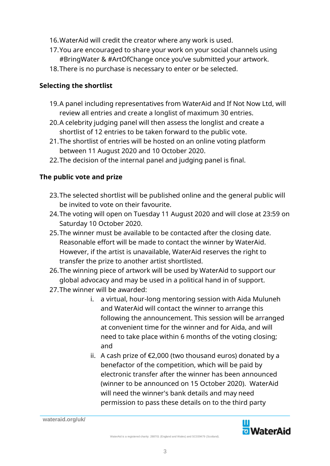- 16.WaterAid will credit the creator where any work is used.
- 17.You are encouraged to share your work on your social channels using #BringWater & #ArtOfChange once you've submitted your artwork.
- 18.There is no purchase is necessary to enter or be selected.

#### **Selecting the shortlist**

- 19.A panel including representatives from WaterAid and If Not Now Ltd, will review all entries and create a longlist of maximum 30 entries.
- 20.A celebrity judging panel will then assess the longlist and create a shortlist of 12 entries to be taken forward to the public vote.
- 21.The shortlist of entries will be hosted on an online voting platform between 11 August 2020 and 10 October 2020.
- 22.The decision of the internal panel and judging panel is final.

### **The public vote and prize**

- 23.The selected shortlist will be published online and the general public will be invited to vote on their favourite.
- 24.The voting will open on Tuesday 11 August 2020 and will close at 23:59 on Saturday 10 October 2020.
- 25.The winner must be available to be contacted after the closing date. Reasonable effort will be made to contact the winner by WaterAid. However, if the artist is unavailable, WaterAid reserves the right to transfer the prize to another artist shortlisted.
- 26.The winning piece of artwork will be used by WaterAid to support our global advocacy and may be used in a political hand in of support.
- 27.The winner will be awarded:
	- i. a virtual, hour-long mentoring session with Aida Muluneh and WaterAid will contact the winner to arrange this following the announcement. This session will be arranged at convenient time for the winner and for Aida, and will need to take place within 6 months of the voting closing; and
	- ii. A cash prize of €2,000 (two thousand euros) donated by a benefactor of the competition, which will be paid by electronic transfer after the winner has been announced (winner to be announced on 15 October 2020). WaterAid will need the winner's bank details and may need permission to pass these details on to the third party

**wateraid.org/uk/**

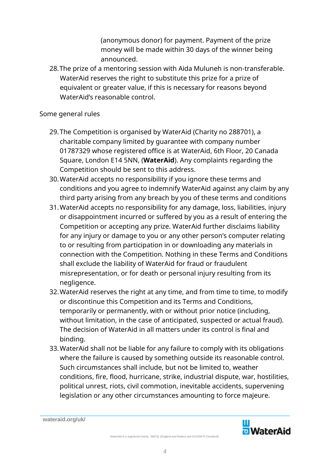(anonymous donor) for payment. Payment of the prize money will be made within 30 days of the winner being announced.

28.The prize of a mentoring session with Aida Muluneh is non-transferable. WaterAid reserves the right to substitute this prize for a prize of equivalent or greater value, if this is necessary for reasons beyond WaterAid's reasonable control.

#### Some general rules

- 29.The Competition is organised by WaterAid (Charity no 288701), a charitable company limited by guarantee with company number 01787329 whose registered office is at WaterAid, 6th Floor, 20 Canada Square, London E14 5NN, (**WaterAid**). Any complaints regarding the Competition should be sent to this address.
- 30.WaterAid accepts no responsibility if you ignore these terms and conditions and you agree to indemnify WaterAid against any claim by any third party arising from any breach by you of these terms and conditions
- 31.WaterAid accepts no responsibility for any damage, loss, liabilities, injury or disappointment incurred or suffered by you as a result of entering the Competition or accepting any prize. WaterAid further disclaims liability for any injury or damage to you or any other person's computer relating to or resulting from participation in or downloading any materials in connection with the Competition. Nothing in these Terms and Conditions shall exclude the liability of WaterAid for fraud or fraudulent misrepresentation, or for death or personal injury resulting from its negligence.
- 32.WaterAid reserves the right at any time, and from time to time, to modify or discontinue this Competition and its Terms and Conditions, temporarily or permanently, with or without prior notice (including, without limitation, in the case of anticipated, suspected or actual fraud). The decision of WaterAid in all matters under its control is final and binding.
- 33.WaterAid shall not be liable for any failure to comply with its obligations where the failure is caused by something outside its reasonable control. Such circumstances shall include, but not be limited to, weather conditions, fire, flood, hurricane, strike, industrial dispute, war, hostilities, political unrest, riots, civil commotion, inevitable accidents, supervening legislation or any other circumstances amounting to force majeure.

**wateraid.org/uk/**